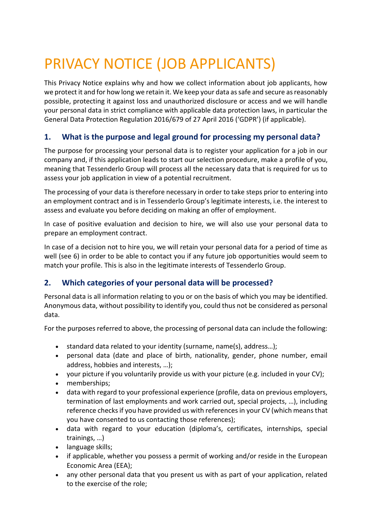# PRIVACY NOTICE (JOB APPLICANTS)

This Privacy Notice explains why and how we collect information about job applicants, how we protect it and for how long we retain it. We keep your data as safe and secure as reasonably possible, protecting it against loss and unauthorized disclosure or access and we will handle your personal data in strict compliance with applicable data protection laws, in particular the General Data Protection Regulation 2016/679 of 27 April 2016 ('GDPR') (if applicable).

## **1. What is the purpose and legal ground for processing my personal data?**

The purpose for processing your personal data is to register your application for a job in our company and, if this application leads to start our selection procedure, make a profile of you, meaning that Tessenderlo Group will process all the necessary data that is required for us to assess your job application in view of a potential recruitment.

The processing of your data is therefore necessary in order to take steps prior to entering into an employment contract and is in Tessenderlo Group's legitimate interests, i.e. the interest to assess and evaluate you before deciding on making an offer of employment.

In case of positive evaluation and decision to hire, we will also use your personal data to prepare an employment contract.

In case of a decision not to hire you, we will retain your personal data for a period of time as well (see 6) in order to be able to contact you if any future job opportunities would seem to match your profile. This is also in the legitimate interests of Tessenderlo Group.

## **2. Which categories of your personal data will be processed?**

Personal data is all information relating to you or on the basis of which you may be identified. Anonymous data, without possibility to identify you, could thus not be considered as personal data.

For the purposes referred to above, the processing of personal data can include the following:

- standard data related to your identity (surname, name(s), address…);
- personal data (date and place of birth, nationality, gender, phone number, email address, hobbies and interests, …);
- your picture if you voluntarily provide us with your picture (e.g. included in your CV);
- memberships;
- data with regard to your professional experience (profile, data on previous employers, termination of last employments and work carried out, special projects, …), including reference checks if you have provided us with references in your CV (which means that you have consented to us contacting those references);
- data with regard to your education (diploma's, certificates, internships, special trainings, …)
- language skills;
- if applicable, whether you possess a permit of working and/or reside in the European Economic Area (EEA);
- any other personal data that you present us with as part of your application, related to the exercise of the role;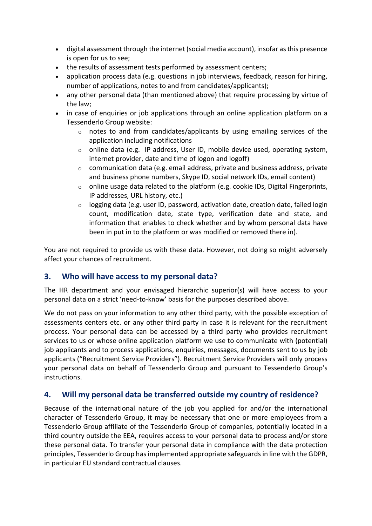- digital assessment through the internet (social media account), insofar as this presence is open for us to see;
- the results of assessment tests performed by assessment centers;
- application process data (e.g. questions in job interviews, feedback, reason for hiring, number of applications, notes to and from candidates/applicants);
- any other personal data (than mentioned above) that require processing by virtue of the law;
- in case of enquiries or job applications through an online application platform on a Tessenderlo Group website:
	- o notes to and from candidates/applicants by using emailing services of the application including notifications
	- o online data (e.g. IP address, User ID, mobile device used, operating system, internet provider, date and time of logon and logoff)
	- o communication data (e.g. email address, private and business address, private and business phone numbers, Skype ID, social network IDs, email content)
	- $\circ$  online usage data related to the platform (e.g. cookie IDs, Digital Fingerprints, IP addresses, URL history, etc.)
	- $\circ$  logging data (e.g. user ID, password, activation date, creation date, failed login count, modification date, state type, verification date and state, and information that enables to check whether and by whom personal data have been in put in to the platform or was modified or removed there in).

You are not required to provide us with these data. However, not doing so might adversely affect your chances of recruitment.

#### **3. Who will have access to my personal data?**

The HR department and your envisaged hierarchic superior(s) will have access to your personal data on a strict 'need-to-know' basis for the purposes described above.

We do not pass on your information to any other third party, with the possible exception of assessments centers etc. or any other third party in case it is relevant for the recruitment process. Your personal data can be accessed by a third party who provides recruitment services to us or whose online application platform we use to communicate with (potential) job applicants and to process applications, enquiries, messages, documents sent to us by job applicants ("Recruitment Service Providers"). Recruitment Service Providers will only process your personal data on behalf of Tessenderlo Group and pursuant to Tessenderlo Group's instructions.

#### **4. Will my personal data be transferred outside my country of residence?**

Because of the international nature of the job you applied for and/or the international character of Tessenderlo Group, it may be necessary that one or more employees from a Tessenderlo Group affiliate of the Tessenderlo Group of companies, potentially located in a third country outside the EEA, requires access to your personal data to process and/or store these personal data. To transfer your personal data in compliance with the data protection principles, Tessenderlo Group has implemented appropriate safeguards in line with the GDPR, in particular EU standard contractual clauses.